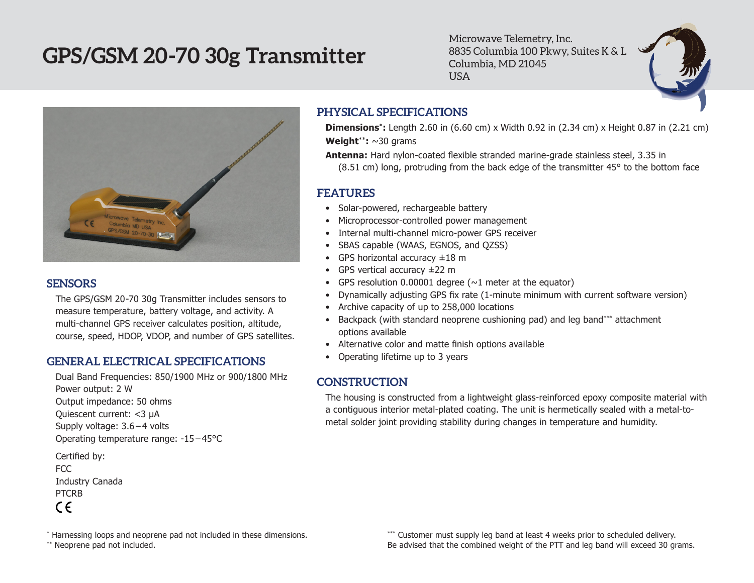# **GPS/GSM 20-70 30g Transmitter**

Microwave Telemetry, Inc. 8835 Columbia 100 Pkwy, Suites K & L Columbia, MD 21045 USA



#### **SENSORS**

The GPS/GSM 20-70 30g Transmitter includes sensors to measure temperature, battery voltage, and activity. A multi-channel GPS receiver calculates position, altitude, course, speed, HDOP, VDOP, and number of GPS satellites.

## **GENERAL ELECTRICAL SPECIFICATIONS**

Dual Band Frequencies: 850/1900 MHz or 900/1800 MHz Power output: 2 W Output impedance: 50 ohms Quiescent current: <3 µA Supply voltage: 3.6 – 4 volts Operating temperature range: -15 – 45°C Certified by: FCC

Industry Canada PTCRB  $\epsilon$ 

# **PHYSICAL SPECIFICATIONS**

**Dimensions\*:** Length 2.60 in (6.60 cm) x Width 0.92 in (2.34 cm) x Height 0.87 in (2.21 cm) **Weight\*\*:** ~30 grams

**Antenna:** Hard nylon-coated flexible stranded marine-grade stainless steel, 3.35 in (8.51 cm) long, protruding from the back edge of the transmitter 45° to the bottom face

### **FEATURES**

- Solar-powered, rechargeable battery
- Microprocessor-controlled power management
- • Internal multi-channel micro-power GPS receiver
- • SBAS capable (WAAS, EGNOS, and QZSS)
- GPS horizontal accuracy  $\pm 18$  m
- GPS vertical accuracy  $\pm 22$  m
- GPS resolution 0.00001 degree  $(\sim 1$  meter at the equator)
- Dynamically adjusting GPS fix rate (1-minute minimum with current software version)
- Archive capacity of up to 258,000 locations
- Backpack (with standard neoprene cushioning pad) and leg band\*\*\* attachment options available
- Alternative color and matte finish options available
- Operating lifetime up to 3 years

## **CONSTRUCTION**

The housing is constructed from a lightweight glass-reinforced epoxy composite material with a contiguous interior metal-plated coating. The unit is hermetically sealed with a metal-tometal solder joint providing stability during changes in temperature and humidity.

\*\* Neoprene pad not included.

\*\*\* Customer must supply leg band at least 4 weeks prior to scheduled delivery. Be advised that the combined weight of the PTT and leg band will exceed 30 grams.

<sup>\*</sup> Harnessing loops and neoprene pad not included in these dimensions.